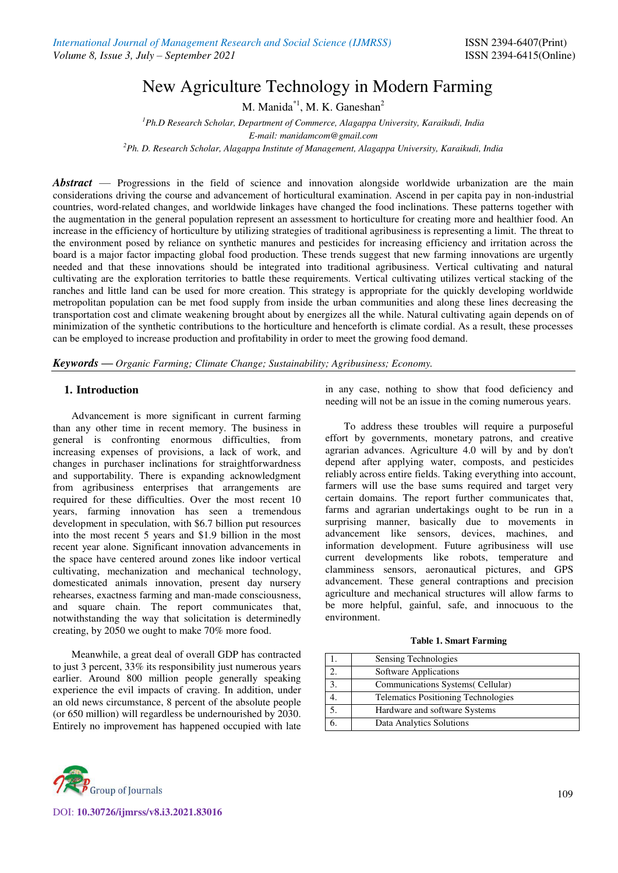# New Agriculture Technology in Modern Farming

M. Manida<sup>\*1</sup>, M. K. Ganeshan<sup>2</sup>

*<sup>1</sup>Ph.D Research Scholar, Department of Commerce, Alagappa University, Karaikudi, India E-mail: manidamcom@gmail.com* 

*<sup>2</sup>Ph. D. Research Scholar, Alagappa Institute of Management, Alagappa University, Karaikudi, India* 

*Abstract* — Progressions in the field of science and innovation alongside worldwide urbanization are the main considerations driving the course and advancement of horticultural examination. Ascend in per capita pay in non-industrial countries, word-related changes, and worldwide linkages have changed the food inclinations. These patterns together with the augmentation in the general population represent an assessment to horticulture for creating more and healthier food. An increase in the efficiency of horticulture by utilizing strategies of traditional agribusiness is representing a limit. The threat to the environment posed by reliance on synthetic manures and pesticides for increasing efficiency and irritation across the board is a major factor impacting global food production. These trends suggest that new farming innovations are urgently needed and that these innovations should be integrated into traditional agribusiness. Vertical cultivating and natural cultivating are the exploration territories to battle these requirements. Vertical cultivating utilizes vertical stacking of the ranches and little land can be used for more creation. This strategy is appropriate for the quickly developing worldwide metropolitan population can be met food supply from inside the urban communities and along these lines decreasing the transportation cost and climate weakening brought about by energizes all the while. Natural cultivating again depends on of minimization of the synthetic contributions to the horticulture and henceforth is climate cordial. As a result, these processes can be employed to increase production and profitability in order to meet the growing food demand.

*Keywords* **—** *Organic Farming; Climate Change; Sustainability; Agribusiness; Economy.*

# **1. Introduction**

Advancement is more significant in current farming than any other time in recent memory. The business in general is confronting enormous difficulties, from increasing expenses of provisions, a lack of work, and changes in purchaser inclinations for straightforwardness and supportability. There is expanding acknowledgment from agribusiness enterprises that arrangements are required for these difficulties. Over the most recent 10 years, farming innovation has seen a tremendous development in speculation, with \$6.7 billion put resources into the most recent 5 years and \$1.9 billion in the most recent year alone. Significant innovation advancements in the space have centered around zones like indoor vertical cultivating, mechanization and mechanical technology, domesticated animals innovation, present day nursery rehearses, exactness farming and man-made consciousness, and square chain. The report communicates that, notwithstanding the way that solicitation is determinedly creating, by 2050 we ought to make 70% more food.

Meanwhile, a great deal of overall GDP has contracted to just 3 percent, 33% its responsibility just numerous years earlier. Around 800 million people generally speaking experience the evil impacts of craving. In addition, under an old news circumstance, 8 percent of the absolute people (or 650 million) will regardless be undernourished by 2030. Entirely no improvement has happened occupied with late in any case, nothing to show that food deficiency and needing will not be an issue in the coming numerous years.

To address these troubles will require a purposeful effort by governments, monetary patrons, and creative agrarian advances. Agriculture 4.0 will by and by don't depend after applying water, composts, and pesticides reliably across entire fields. Taking everything into account, farmers will use the base sums required and target very certain domains. The report further communicates that, farms and agrarian undertakings ought to be run in a surprising manner, basically due to movements in advancement like sensors, devices, machines, and information development. Future agribusiness will use current developments like robots, temperature and clamminess sensors, aeronautical pictures, and GPS advancement. These general contraptions and precision agriculture and mechanical structures will allow farms to be more helpful, gainful, safe, and innocuous to the environment.

|  |  |  | <b>Table 1. Smart Farming</b> |
|--|--|--|-------------------------------|
|--|--|--|-------------------------------|

|                | Sensing Technologies                       |
|----------------|--------------------------------------------|
| $\overline{2}$ | Software Applications                      |
| 3.             | Communications Systems (Cellular)          |
|                | <b>Telematics Positioning Technologies</b> |
| 5.             | Hardware and software Systems              |
|                | Data Analytics Solutions                   |



DOI: **10.30726/ijmrss/v8.i3.2021.83016**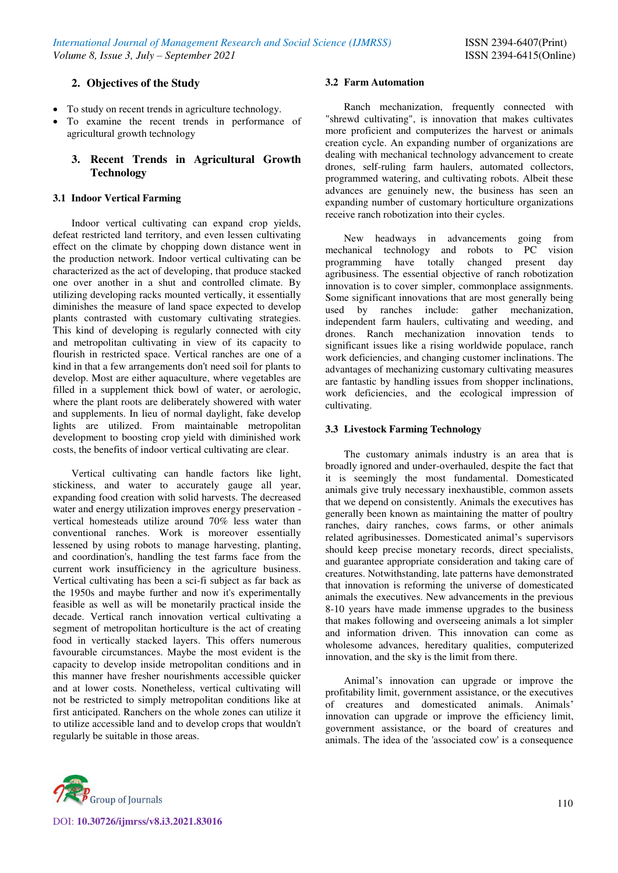# **2. Objectives of the Study**

- To study on recent trends in agriculture technology.
- To examine the recent trends in performance of agricultural growth technology

# **3. Recent Trends in Agricultural Growth Technology**

## **3.1 Indoor Vertical Farming**

Indoor vertical cultivating can expand crop yields, defeat restricted land territory, and even lessen cultivating effect on the climate by chopping down distance went in the production network. Indoor vertical cultivating can be characterized as the act of developing, that produce stacked one over another in a shut and controlled climate. By utilizing developing racks mounted vertically, it essentially diminishes the measure of land space expected to develop plants contrasted with customary cultivating strategies. This kind of developing is regularly connected with city and metropolitan cultivating in view of its capacity to flourish in restricted space. Vertical ranches are one of a kind in that a few arrangements don't need soil for plants to develop. Most are either aquaculture, where vegetables are filled in a supplement thick bowl of water, or aerologic, where the plant roots are deliberately showered with water and supplements. In lieu of normal daylight, fake develop lights are utilized. From maintainable metropolitan development to boosting crop yield with diminished work costs, the benefits of indoor vertical cultivating are clear.

Vertical cultivating can handle factors like light, stickiness, and water to accurately gauge all year, expanding food creation with solid harvests. The decreased water and energy utilization improves energy preservation vertical homesteads utilize around 70% less water than conventional ranches. Work is moreover essentially lessened by using robots to manage harvesting, planting, and coordination's, handling the test farms face from the current work insufficiency in the agriculture business. Vertical cultivating has been a sci-fi subject as far back as the 1950s and maybe further and now it's experimentally feasible as well as will be monetarily practical inside the decade. Vertical ranch innovation vertical cultivating a segment of metropolitan horticulture is the act of creating food in vertically stacked layers. This offers numerous favourable circumstances. Maybe the most evident is the capacity to develop inside metropolitan conditions and in this manner have fresher nourishments accessible quicker and at lower costs. Nonetheless, vertical cultivating will not be restricted to simply metropolitan conditions like at first anticipated. Ranchers on the whole zones can utilize it to utilize accessible land and to develop crops that wouldn't regularly be suitable in those areas.

#### **3.2 Farm Automation**

Ranch mechanization, frequently connected with "shrewd cultivating", is innovation that makes cultivates more proficient and computerizes the harvest or animals creation cycle. An expanding number of organizations are dealing with mechanical technology advancement to create drones, self-ruling farm haulers, automated collectors, programmed watering, and cultivating robots. Albeit these advances are genuinely new, the business has seen an expanding number of customary horticulture organizations receive ranch robotization into their cycles.

New headways in advancements going from mechanical technology and robots to PC vision programming have totally changed present day agribusiness. The essential objective of ranch robotization innovation is to cover simpler, commonplace assignments. Some significant innovations that are most generally being used by ranches include: gather mechanization, independent farm haulers, cultivating and weeding, and drones. Ranch mechanization innovation tends to significant issues like a rising worldwide populace, ranch work deficiencies, and changing customer inclinations. The advantages of mechanizing customary cultivating measures are fantastic by handling issues from shopper inclinations, work deficiencies, and the ecological impression of cultivating.

# **3.3 Livestock Farming Technology**

The customary animals industry is an area that is broadly ignored and under-overhauled, despite the fact that it is seemingly the most fundamental. Domesticated animals give truly necessary inexhaustible, common assets that we depend on consistently. Animals the executives has generally been known as maintaining the matter of poultry ranches, dairy ranches, cows farms, or other animals related agribusinesses. Domesticated animal's supervisors should keep precise monetary records, direct specialists, and guarantee appropriate consideration and taking care of creatures. Notwithstanding, late patterns have demonstrated that innovation is reforming the universe of domesticated animals the executives. New advancements in the previous 8-10 years have made immense upgrades to the business that makes following and overseeing animals a lot simpler and information driven. This innovation can come as wholesome advances, hereditary qualities, computerized innovation, and the sky is the limit from there.

Animal's innovation can upgrade or improve the profitability limit, government assistance, or the executives of creatures and domesticated animals. Animals' innovation can upgrade or improve the efficiency limit, government assistance, or the board of creatures and animals. The idea of the 'associated cow' is a consequence

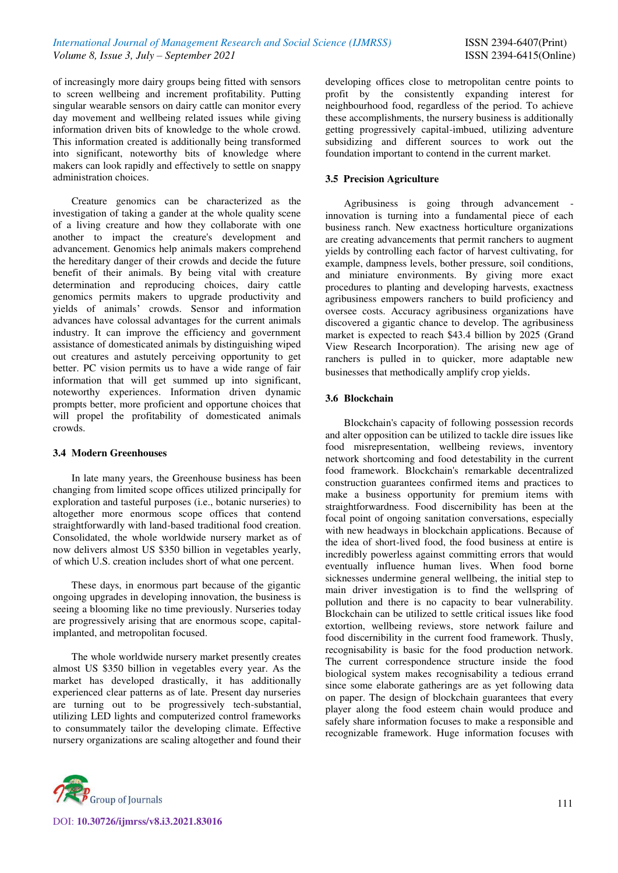of increasingly more dairy groups being fitted with sensors to screen wellbeing and increment profitability. Putting singular wearable sensors on dairy cattle can monitor every day movement and wellbeing related issues while giving information driven bits of knowledge to the whole crowd. This information created is additionally being transformed into significant, noteworthy bits of knowledge where makers can look rapidly and effectively to settle on snappy administration choices.

Creature genomics can be characterized as the investigation of taking a gander at the whole quality scene of a living creature and how they collaborate with one another to impact the creature's development and advancement. Genomics help animals makers comprehend the hereditary danger of their crowds and decide the future benefit of their animals. By being vital with creature determination and reproducing choices, dairy cattle genomics permits makers to upgrade productivity and yields of animals' crowds. Sensor and information advances have colossal advantages for the current animals industry. It can improve the efficiency and government assistance of domesticated animals by distinguishing wiped out creatures and astutely perceiving opportunity to get better. PC vision permits us to have a wide range of fair information that will get summed up into significant, noteworthy experiences. Information driven dynamic prompts better, more proficient and opportune choices that will propel the profitability of domesticated animals crowds.

# **3.4 Modern Greenhouses**

In late many years, the Greenhouse business has been changing from limited scope offices utilized principally for exploration and tasteful purposes (i.e., botanic nurseries) to altogether more enormous scope offices that contend straightforwardly with land-based traditional food creation. Consolidated, the whole worldwide nursery market as of now delivers almost US \$350 billion in vegetables yearly, of which U.S. creation includes short of what one percent.

These days, in enormous part because of the gigantic ongoing upgrades in developing innovation, the business is seeing a blooming like no time previously. Nurseries today are progressively arising that are enormous scope, capitalimplanted, and metropolitan focused.

The whole worldwide nursery market presently creates almost US \$350 billion in vegetables every year. As the market has developed drastically, it has additionally experienced clear patterns as of late. Present day nurseries are turning out to be progressively tech-substantial, utilizing LED lights and computerized control frameworks to consummately tailor the developing climate. Effective nursery organizations are scaling altogether and found their developing offices close to metropolitan centre points to profit by the consistently expanding interest for neighbourhood food, regardless of the period. To achieve these accomplishments, the nursery business is additionally getting progressively capital-imbued, utilizing adventure subsidizing and different sources to work out the foundation important to contend in the current market.

# **3.5 Precision Agriculture**

Agribusiness is going through advancement innovation is turning into a fundamental piece of each business ranch. New exactness horticulture organizations are creating advancements that permit ranchers to augment yields by controlling each factor of harvest cultivating, for example, dampness levels, bother pressure, soil conditions, and miniature environments. By giving more exact procedures to planting and developing harvests, exactness agribusiness empowers ranchers to build proficiency and oversee costs. Accuracy agribusiness organizations have discovered a gigantic chance to develop. The agribusiness market is expected to reach \$43.4 billion by 2025 (Grand View Research Incorporation). The arising new age of ranchers is pulled in to quicker, more adaptable new businesses that methodically amplify crop yields.

# **3.6 Blockchain**

Blockchain's capacity of following possession records and alter opposition can be utilized to tackle dire issues like food misrepresentation, wellbeing reviews, inventory network shortcoming and food detestability in the current food framework. Blockchain's remarkable decentralized construction guarantees confirmed items and practices to make a business opportunity for premium items with straightforwardness. Food discernibility has been at the focal point of ongoing sanitation conversations, especially with new headways in blockchain applications. Because of the idea of short-lived food, the food business at entire is incredibly powerless against committing errors that would eventually influence human lives. When food borne sicknesses undermine general wellbeing, the initial step to main driver investigation is to find the wellspring of pollution and there is no capacity to bear vulnerability. Blockchain can be utilized to settle critical issues like food extortion, wellbeing reviews, store network failure and food discernibility in the current food framework. Thusly, recognisability is basic for the food production network. The current correspondence structure inside the food biological system makes recognisability a tedious errand since some elaborate gatherings are as yet following data on paper. The design of blockchain guarantees that every player along the food esteem chain would produce and safely share information focuses to make a responsible and recognizable framework. Huge information focuses with

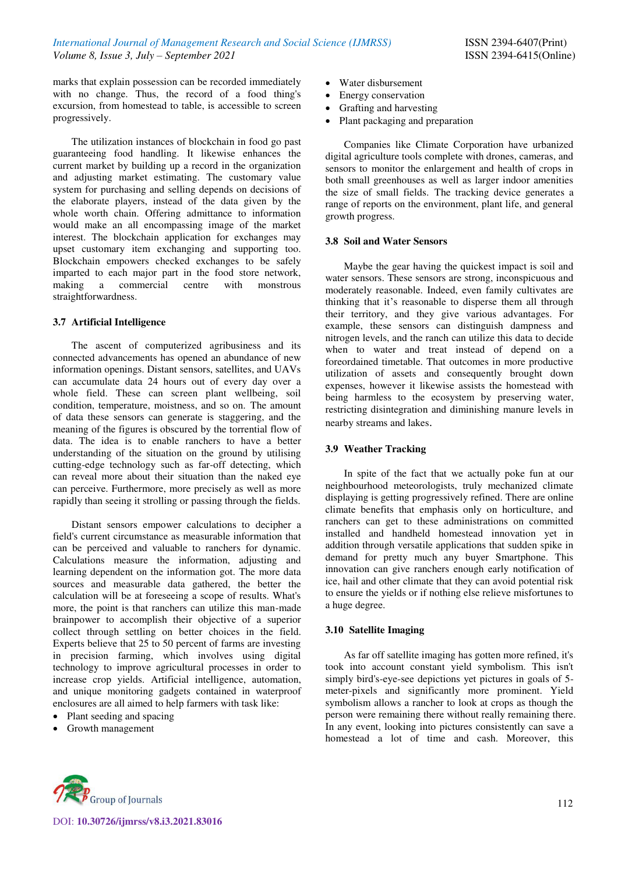marks that explain possession can be recorded immediately with no change. Thus, the record of a food thing's excursion, from homestead to table, is accessible to screen progressively.

The utilization instances of blockchain in food go past guaranteeing food handling. It likewise enhances the current market by building up a record in the organization and adjusting market estimating. The customary value system for purchasing and selling depends on decisions of the elaborate players, instead of the data given by the whole worth chain. Offering admittance to information would make an all encompassing image of the market interest. The blockchain application for exchanges may upset customary item exchanging and supporting too. Blockchain empowers checked exchanges to be safely imparted to each major part in the food store network, making a commercial centre with monstrous straightforwardness.

# **3.7 Artificial Intelligence**

The ascent of computerized agribusiness and its connected advancements has opened an abundance of new information openings. Distant sensors, satellites, and UAVs can accumulate data 24 hours out of every day over a whole field. These can screen plant wellbeing, soil condition, temperature, moistness, and so on. The amount of data these sensors can generate is staggering, and the meaning of the figures is obscured by the torrential flow of data. The idea is to enable ranchers to have a better understanding of the situation on the ground by utilising cutting-edge technology such as far-off detecting, which can reveal more about their situation than the naked eye can perceive. Furthermore, more precisely as well as more rapidly than seeing it strolling or passing through the fields.

Distant sensors empower calculations to decipher a field's current circumstance as measurable information that can be perceived and valuable to ranchers for dynamic. Calculations measure the information, adjusting and learning dependent on the information got. The more data sources and measurable data gathered, the better the calculation will be at foreseeing a scope of results. What's more, the point is that ranchers can utilize this man-made brainpower to accomplish their objective of a superior collect through settling on better choices in the field. Experts believe that 25 to 50 percent of farms are investing in precision farming, which involves using digital technology to improve agricultural processes in order to increase crop yields. Artificial intelligence, automation, and unique monitoring gadgets contained in waterproof enclosures are all aimed to help farmers with task like:

- Plant seeding and spacing
- Growth management
- Water disbursement
- Energy conservation
- Grafting and harvesting
- Plant packaging and preparation

Companies like Climate Corporation have urbanized digital agriculture tools complete with drones, cameras, and sensors to monitor the enlargement and health of crops in both small greenhouses as well as larger indoor amenities the size of small fields. The tracking device generates a range of reports on the environment, plant life, and general growth progress.

#### **3.8 Soil and Water Sensors**

Maybe the gear having the quickest impact is soil and water sensors. These sensors are strong, inconspicuous and moderately reasonable. Indeed, even family cultivates are thinking that it's reasonable to disperse them all through their territory, and they give various advantages. For example, these sensors can distinguish dampness and nitrogen levels, and the ranch can utilize this data to decide when to water and treat instead of depend on a foreordained timetable. That outcomes in more productive utilization of assets and consequently brought down expenses, however it likewise assists the homestead with being harmless to the ecosystem by preserving water, restricting disintegration and diminishing manure levels in nearby streams and lakes.

# **3.9 Weather Tracking**

In spite of the fact that we actually poke fun at our neighbourhood meteorologists, truly mechanized climate displaying is getting progressively refined. There are online climate benefits that emphasis only on horticulture, and ranchers can get to these administrations on committed installed and handheld homestead innovation yet in addition through versatile applications that sudden spike in demand for pretty much any buyer Smartphone. This innovation can give ranchers enough early notification of ice, hail and other climate that they can avoid potential risk to ensure the yields or if nothing else relieve misfortunes to a huge degree.

# **3.10 Satellite Imaging**

As far off satellite imaging has gotten more refined, it's took into account constant yield symbolism. This isn't simply bird's-eye-see depictions yet pictures in goals of 5 meter-pixels and significantly more prominent. Yield symbolism allows a rancher to look at crops as though the person were remaining there without really remaining there. In any event, looking into pictures consistently can save a homestead a lot of time and cash. Moreover, this

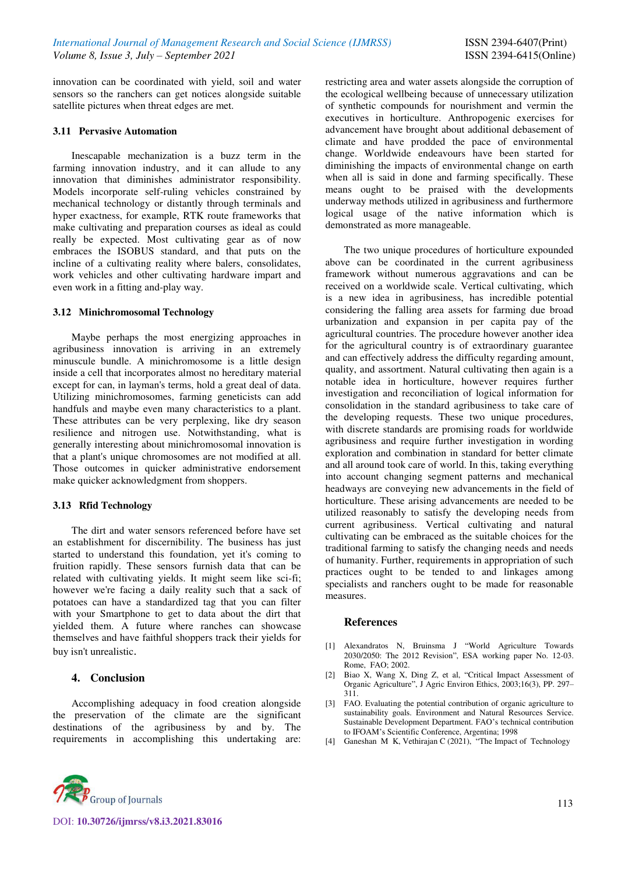innovation can be coordinated with yield, soil and water sensors so the ranchers can get notices alongside suitable satellite pictures when threat edges are met.

### **3.11 Pervasive Automation**

Inescapable mechanization is a buzz term in the farming innovation industry, and it can allude to any innovation that diminishes administrator responsibility. Models incorporate self-ruling vehicles constrained by mechanical technology or distantly through terminals and hyper exactness, for example, RTK route frameworks that make cultivating and preparation courses as ideal as could really be expected. Most cultivating gear as of now embraces the ISOBUS standard, and that puts on the incline of a cultivating reality where balers, consolidates, work vehicles and other cultivating hardware impart and even work in a fitting and-play way.

## **3.12 Minichromosomal Technology**

Maybe perhaps the most energizing approaches in agribusiness innovation is arriving in an extremely minuscule bundle. A minichromosome is a little design inside a cell that incorporates almost no hereditary material except for can, in layman's terms, hold a great deal of data. Utilizing minichromosomes, farming geneticists can add handfuls and maybe even many characteristics to a plant. These attributes can be very perplexing, like dry season resilience and nitrogen use. Notwithstanding, what is generally interesting about minichromosomal innovation is that a plant's unique chromosomes are not modified at all. Those outcomes in quicker administrative endorsement make quicker acknowledgment from shoppers.

#### **3.13 Rfid Technology**

The dirt and water sensors referenced before have set an establishment for discernibility. The business has just started to understand this foundation, yet it's coming to fruition rapidly. These sensors furnish data that can be related with cultivating yields. It might seem like sci-fi; however we're facing a daily reality such that a sack of potatoes can have a standardized tag that you can filter with your Smartphone to get to data about the dirt that yielded them. A future where ranches can showcase themselves and have faithful shoppers track their yields for buy isn't unrealistic.

# **4. Conclusion**

Accomplishing adequacy in food creation alongside the preservation of the climate are the significant destinations of the agribusiness by and by. The requirements in accomplishing this undertaking are: restricting area and water assets alongside the corruption of the ecological wellbeing because of unnecessary utilization of synthetic compounds for nourishment and vermin the executives in horticulture. Anthropogenic exercises for advancement have brought about additional debasement of climate and have prodded the pace of environmental change. Worldwide endeavours have been started for diminishing the impacts of environmental change on earth when all is said in done and farming specifically. These means ought to be praised with the developments underway methods utilized in agribusiness and furthermore logical usage of the native information which is demonstrated as more manageable.

The two unique procedures of horticulture expounded above can be coordinated in the current agribusiness framework without numerous aggravations and can be received on a worldwide scale. Vertical cultivating, which is a new idea in agribusiness, has incredible potential considering the falling area assets for farming due broad urbanization and expansion in per capita pay of the agricultural countries. The procedure however another idea for the agricultural country is of extraordinary guarantee and can effectively address the difficulty regarding amount, quality, and assortment. Natural cultivating then again is a notable idea in horticulture, however requires further investigation and reconciliation of logical information for consolidation in the standard agribusiness to take care of the developing requests. These two unique procedures, with discrete standards are promising roads for worldwide agribusiness and require further investigation in wording exploration and combination in standard for better climate and all around took care of world. In this, taking everything into account changing segment patterns and mechanical headways are conveying new advancements in the field of horticulture. These arising advancements are needed to be utilized reasonably to satisfy the developing needs from current agribusiness. Vertical cultivating and natural cultivating can be embraced as the suitable choices for the traditional farming to satisfy the changing needs and needs of humanity. Further, requirements in appropriation of such practices ought to be tended to and linkages among specialists and ranchers ought to be made for reasonable measures.

#### **References**

- [1] Alexandratos N, Bruinsma J "World Agriculture Towards 2030/2050: The 2012 Revision", ESA working paper No. 12-03. Rome, FAO; 2002.
- [2] Biao X, Wang X, Ding Z, et al, "Critical Impact Assessment of Organic Agriculture", J Agric Environ Ethics, 2003;16(3), PP. 297– 311.
- [3] FAO. Evaluating the potential contribution of organic agriculture to sustainability goals. Environment and Natural Resources Service. Sustainable Development Department. FAO's technical contribution to IFOAM's Scientific Conference, Argentina; 1998
- [4] Ganeshan M K, Vethirajan C (2021), "The Impact of Technology